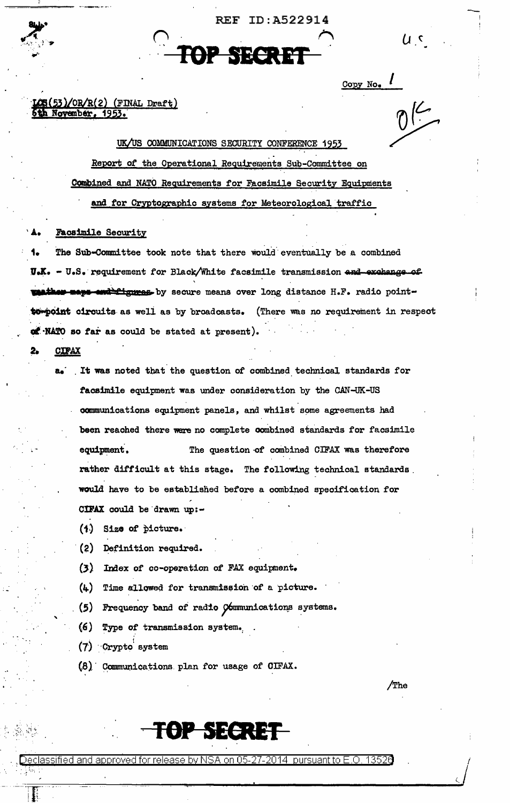ID:A522914 REF



Copy No.

u c

/The

## $\text{CS}(53)/\text{OR/R}(2)$  (FINAL Draft) 5th November, 1953.

UK/US COMMUNICATIONS SECURITY CONFERENCE 1953 Report of the Operational Requirements Sub-Committee on Combined and NATO Requirements for Facsimile Security Equipments and for Cryptographic systems for Meteorological traffic

### **Facsimile Security**

The Sub-Committee took note that there would eventually be a combined U.K. - U.S. requirement for Black/White facsimile transmission and exchange of **ather maps end figures** by secure means over long distance H.F. radio point**to-point circuits as well as by broadcasts.** (There was no requirement in respect of NATO so far as could be stated at present).

## **CIPAX**

- a. It was noted that the question of combined technical standards for facsimile equipment was under consideration by the CAN-UK-US communications equipment panels, and whilst some agreements had been reached there were no complete combined standards for facsimile The question of combined CIFAX was therefore equipment. rather difficult at this stage. The following technical standards. would have to be established before a combined specification for CIFAX could be drawn up:-
	- (1) Size of picture.
	- (2) Definition required.
	- (3) Index of co-operation of FAX equipment.
	- $(4)$  Time allowed for transmission of a picture.
	- (5) Frequency band of radio Communications systems.
	- $(6)$ Type of transmission system.
	- (7) Crypto system
	- (8) Communications plan for usage of CIFAX.

**FOP SECRET** 

Decla 27-2014 :nursuant to F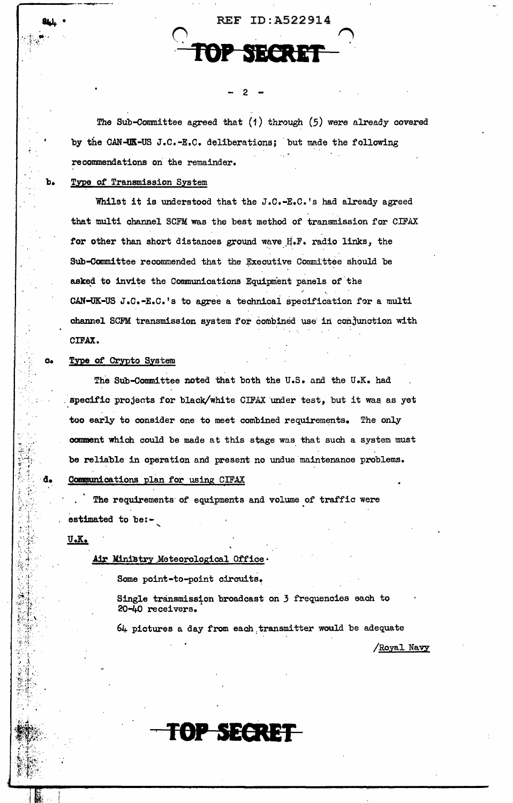The Sub-Committee agreed that  $(1)$  through  $(5)$  were already covered by the CAN-UK-US J.C.-E.C. deliberations; but made the following recommendations on the remainder.

2

**REF ID: A522914** 

# Type of Transmission System

Whilst it is understood that the J.C.-E.C.'s had already agreed that multi channel SCFM was the best method of transmission for CIFAX for other than short distances ground wave H.F. radio links, the Sub-Committee recommended that the Executive Committee should be asked to invite the Communications Equipment panels of the CAN-UK-US J.C.-E.C.'s to agree a technical specification for a multi channel SCFM transmission system for combined use in conjunction with CIFAX.

### Type of Crypto System

The Sub-Committee noted that both the U.S. and the U.K. had specific projects for black/white CIFAX under test, but it was as yet too early to consider one to meet combined requirements. The only comment which could be made at this stage was that such a system must be reliable in operation and present no undue maintenance problems.

Communications plan for using CIFAX

The requirements of equipments and volume of traffic were estimated to be:-

 $U$ . $K$ .

## Air Ministry Meteorological Office

Some point-to-point circuits.

Single transmission broadcast on 3 frequencies each to 20-40 receivers.

64 pictures a day from each transmitter would be adequate

TOP SECRET

Royal Navy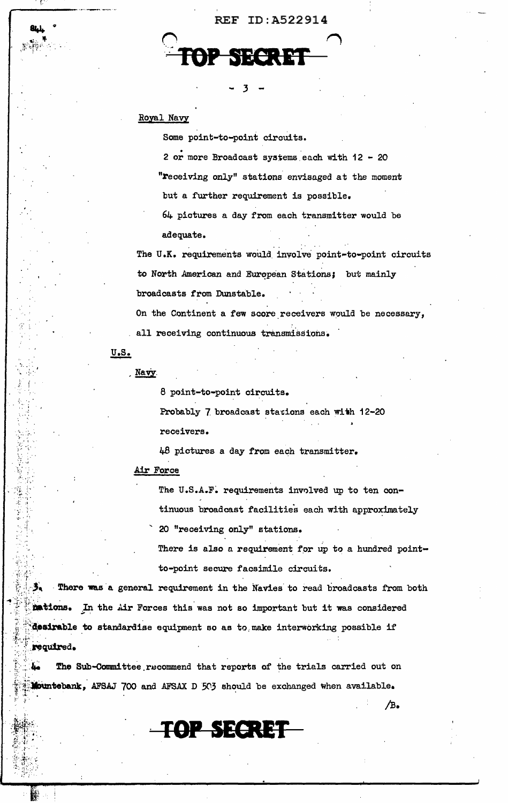# **REF ID: A522914**

# Royal Navy

Some point-to-point circuits.

2 or more Broadcast systems each with  $12 - 20$ "receiving only" stations envisaged at the moment but a further requirement is possible. 64 pictures a day from each transmitter would be

adequate.

The U.K. requirements would involve point-to-point circuits to North American and European Stations; but mainly broadcasts from Dunstable.

On the Continent a few score receivers would be necessary, all receiving continuous transmissions.

 $U.S.$ 

医子宫切除术 医单

Navy

8 point-to-point circuits.

Probably 7 broadcast stations each with 12-20 receivers.

48 pictures a day from each transmitter.

# Air Force

The U.S.A.F. requirements involved up to ten continuous broadcast facilities each with approximately 20 "receiving only" stations.

There is also a requirement for up to a hundred pointto-point secure facsimile circuits.

⁄в.

There was a general requirement in the Navies to read broadcasts from both mations. In the Air Forces this was not so important but it was considered desirable to standardise equipment so as to make interworking possible if required.

The Sub-Committee recommend that reports of the trials carried out on Mountebank, AFSAJ 700 and AFSAX D 503 should be exchanged when available.

TOP SECRET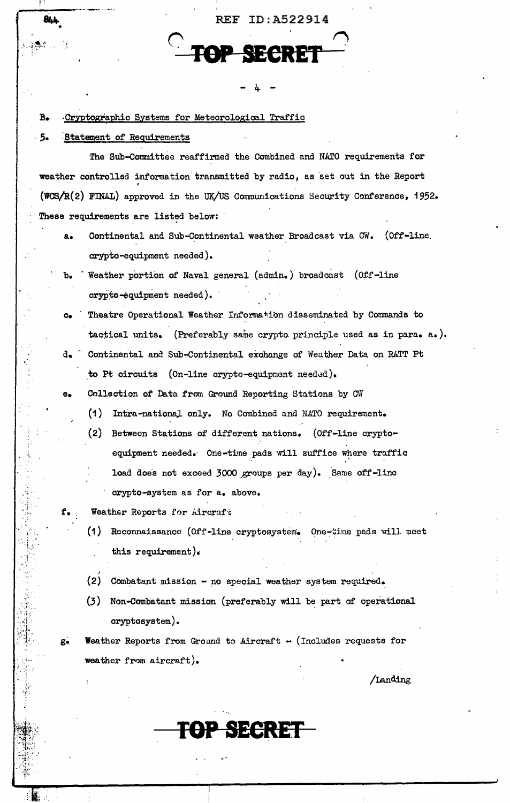844 REF ID: A522914 Cryptographic Systems for Meteorological Traffic Statement of Requirements The Sub-Committee reaffirmed the Combined and NATO requirements for weather controlled information transmitted by radio, as set out in the Report (WCS/R(2) FINAL) approved in the UK/US Communications Security Conference, 1952. These requirements are listed below: Continental and Sub-Continental weather Broadcast via CW. (Off-line  $a_{\bullet}$ crypto-equipment needed). Weather portion of Naval general (admin.) broadcast (Off-line  $b_{\bullet}$ crypto-equipment needed). Theatre Operational Weather Information disseminated by Commands to  $\mathbf{C}$ tactical units. (Preferably same crypto principle used as in para. a.).

- $d_{\bullet}$ Continental and Sub-Continental exchange of Weather Data on RATT Pt to Pt circuits (On-line crypto-equipment needed).
- Collection of Data from Ground Reporting Stations by CW  $\mathbf{e}$ 
	- (1) Intra-national only. No Combined and NATO requirement.
	- (2) Between Stations of different nations. (Off-line cryptoequipment needed. One-time pads will suffice where traffic load does not exceed 3000 groups per day). Same off-line crypto-system as for a. above.
	- Weather Reports for Aircraft

 $B_{\bullet}$ 

 $5-$ 

- (1) Reconnaissance (Off-line cryptosystem. One-time pads will meet this requirement).
- (2) Combatant mission no special weather system required.
- (3) Non-Combatant mission (preferably will be part of operational cryptosystem).

**OP SECRET** 

Weather Reports from Ground to Aircraft - (Includes requests for  $g_{\bullet}$ weather from aircraft).

/Landing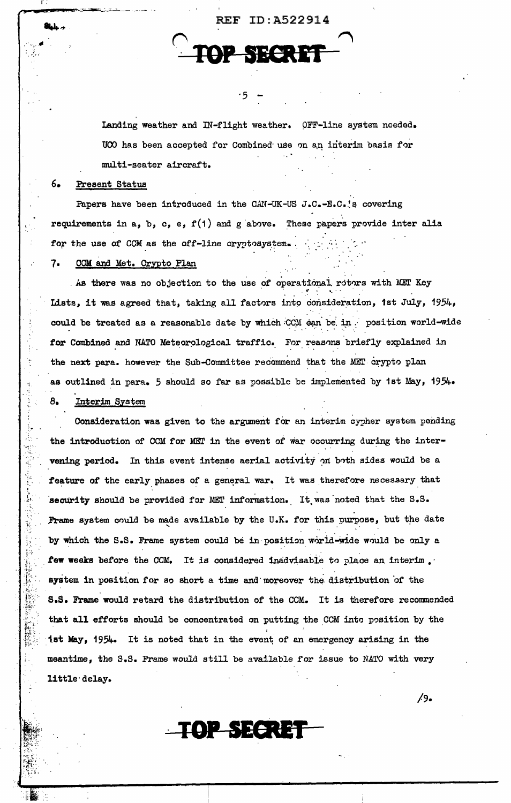Landing weather and IN-flight weather. OFF-line system needed. UCO has been accepted for Combined use on an interim basis for multi-seater aircraft.

REF ID: A522914

### $6.$ Present Status

Papers have been introduced in the CAN-UK-US J.C.-E.C.'s covering requirements in a, b, c, e,  $f(1)$  and g above. These papers provide inter alia for the use of CCM as the off-line cryptosystem.

### 7. CCM and Met. Crypto Plan

As there was no objection to the use of operational rotors with MET Key Lists, it was agreed that, taking all factors into consideration, ist July, 1954, could be treated as a reasonable date by which CCM can be in position world-wide for Combined and NATO Meteorological traffic. For reasons briefly explained in the next para. however the Sub-Committee recommend that the MET crypto plan as outlined in para. 5 should so far as possible be implemented by 1st May, 1954. Interim System 8.

Consideration was given to the argument for an interim cypher system pending the introduction of CCM for MET in the event of war occurring during the intervening period. In this event intense aerial activity on both sides would be a feature of the early phases of a general war. It was therefore necessary that security should be provided for MET information. It was noted that the S.S. Frame system could be made available by the U.K. for this purpose, but the date by which the S.S. Frame system could be in position world-wide would be only a few weeks before the CCM. It is considered inadvisable to place an interim. system in position for so short a time and moreover the distribution of the S.S. Frame would retard the distribution of the CCM. It is therefore recommended that all efforts should be concentrated on putting the CCM into position by the 1st May, 1954. It is noted that in the event of an emergency arising in the meantime, the S.S. Frame would still be available for issue to NATO with very little delay.

TOP SECRET

 $/9.$